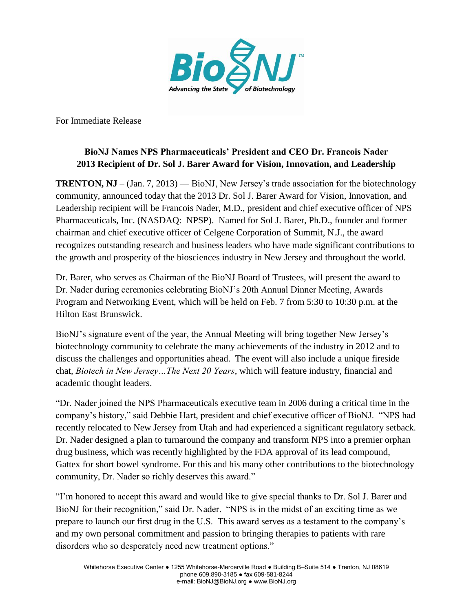

For Immediate Release

# **BioNJ Names NPS Pharmaceuticals' President and CEO Dr. Francois Nader 2013 Recipient of Dr. Sol J. Barer Award for Vision, Innovation, and Leadership**

**TRENTON, NJ** – (Jan. 7, 2013) — BioNJ, New Jersey's trade association for the biotechnology community, announced today that the 2013 Dr. Sol J. Barer Award for Vision, Innovation, and Leadership recipient will be Francois Nader, M.D., president and chief executive officer of NPS Pharmaceuticals, Inc. (NASDAQ: NPSP). Named for Sol J. Barer, Ph.D., founder and former chairman and chief executive officer of Celgene Corporation of Summit, N.J., the award recognizes outstanding research and business leaders who have made significant contributions to the growth and prosperity of the biosciences industry in New Jersey and throughout the world.

Dr. Barer, who serves as Chairman of the BioNJ Board of Trustees, will present the award to Dr. Nader during ceremonies celebrating BioNJ's 20th Annual Dinner Meeting, Awards Program and Networking Event, which will be held on Feb. 7 from 5:30 to 10:30 p.m. at the Hilton East Brunswick.

BioNJ's signature event of the year, the Annual Meeting will bring together New Jersey's biotechnology community to celebrate the many achievements of the industry in 2012 and to discuss the challenges and opportunities ahead. The event will also include a unique fireside chat, *Biotech in New Jersey…The Next 20 Years*, which will feature industry, financial and academic thought leaders.

"Dr. Nader joined the NPS Pharmaceuticals executive team in 2006 during a critical time in the company's history," said Debbie Hart, president and chief executive officer of BioNJ. "NPS had recently relocated to New Jersey from Utah and had experienced a significant regulatory setback. Dr. Nader designed a plan to turnaround the company and transform NPS into a premier orphan drug business, which was recently highlighted by the FDA approval of its lead compound, Gattex for short bowel syndrome. For this and his many other contributions to the biotechnology community, Dr. Nader so richly deserves this award."

"I'm honored to accept this award and would like to give special thanks to Dr. Sol J. Barer and BioNJ for their recognition," said Dr. Nader. "NPS is in the midst of an exciting time as we prepare to launch our first drug in the U.S. This award serves as a testament to the company's and my own personal commitment and passion to bringing therapies to patients with rare disorders who so desperately need new treatment options."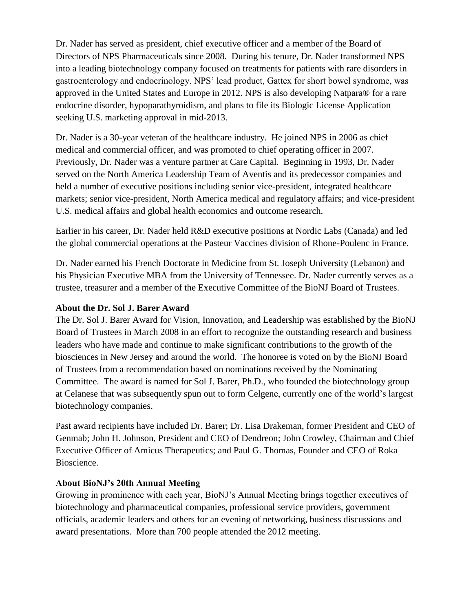Dr. Nader has served as president, chief executive officer and a member of the Board of Directors of NPS Pharmaceuticals since 2008. During his tenure, Dr. Nader transformed NPS into a leading biotechnology company focused on treatments for patients with rare disorders in gastroenterology and endocrinology. NPS' lead product, Gattex for short bowel syndrome, was approved in the United States and Europe in 2012. NPS is also developing Natpara® for a rare endocrine disorder, hypoparathyroidism, and plans to file its Biologic License Application seeking U.S. marketing approval in mid-2013.

Dr. Nader is a 30-year veteran of the healthcare industry. He joined NPS in 2006 as chief medical and commercial officer, and was promoted to chief operating officer in 2007. Previously, Dr. Nader was a venture partner at Care Capital. Beginning in 1993, Dr. Nader served on the North America Leadership Team of Aventis and its predecessor companies and held a number of executive positions including senior vice-president, integrated healthcare markets; senior vice-president, North America medical and regulatory affairs; and vice-president U.S. medical affairs and global health economics and outcome research.

Earlier in his career, Dr. Nader held R&D executive positions at Nordic Labs (Canada) and led the global commercial operations at the Pasteur Vaccines division of Rhone-Poulenc in France.

Dr. Nader earned his French Doctorate in Medicine from St. Joseph University (Lebanon) and his Physician Executive MBA from the University of Tennessee. Dr. Nader currently serves as a trustee, treasurer and a member of the Executive Committee of the BioNJ Board of Trustees.

### **About the Dr. Sol J. Barer Award**

The Dr. Sol J. Barer Award for Vision, Innovation, and Leadership was established by the BioNJ Board of Trustees in March 2008 in an effort to recognize the outstanding research and business leaders who have made and continue to make significant contributions to the growth of the biosciences in New Jersey and around the world. The honoree is voted on by the BioNJ Board of Trustees from a recommendation based on nominations received by the Nominating Committee. The award is named for Sol J. Barer, Ph.D., who founded the biotechnology group at Celanese that was subsequently spun out to form Celgene, currently one of the world's largest biotechnology companies.

Past award recipients have included Dr. Barer; Dr. Lisa Drakeman, former President and CEO of Genmab; John H. Johnson, President and CEO of Dendreon; John Crowley, Chairman and Chief Executive Officer of Amicus Therapeutics; and Paul G. Thomas, Founder and CEO of Roka Bioscience.

### **About BioNJ's 20th Annual Meeting**

Growing in prominence with each year, BioNJ's Annual Meeting brings together executives of biotechnology and pharmaceutical companies, professional service providers, government officials, academic leaders and others for an evening of networking, business discussions and award presentations. More than 700 people attended the 2012 meeting.